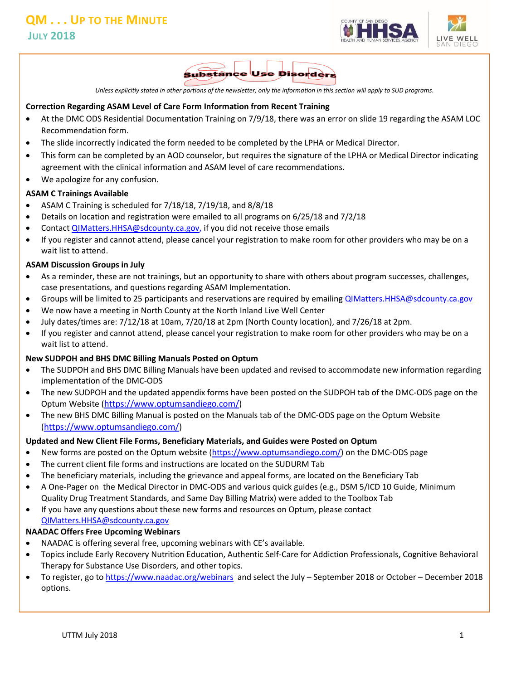



*Unless explicitly stated in other portions of the newsletter, only the information in this section will apply to SUD programs.*

#### **Correction Regarding ASAM Level of Care Form Information from Recent Training**

- At the DMC ODS Residential Documentation Training on 7/9/18, there was an error on slide 19 regarding the ASAM LOC Recommendation form.
- The slide incorrectly indicated the form needed to be completed by the LPHA or Medical Director.
- This form can be completed by an AOD counselor, but requires the signature of the LPHA or Medical Director indicating agreement with the clinical information and ASAM level of care recommendations.
- We apologize for any confusion.

#### **ASAM C Trainings Available**

- ASAM C Training is scheduled for  $7/18/18$ ,  $7/19/18$ , and  $8/8/18$
- Details on location and registration were emailed to all programs on 6/25/18 and 7/2/18
- Contac[t QIMatters.HHSA@sdcounty.ca.gov,](mailto:QIMatters.HHSA@sdcounty.ca.gov) if you did not receive those emails
- If you register and cannot attend, please cancel your registration to make room for other providers who may be on a wait list to attend.

#### **ASAM Discussion Groups in July**

- As a reminder, these are not trainings, but an opportunity to share with others about program successes, challenges, case presentations, and questions regarding ASAM Implementation.
- Groups will be limited to 25 participants and reservations are required by emailing [QIMatters.HHSA@sdcounty.ca.gov](mailto:QIMatters.HHSA@sdcounty.ca.gov)
- We now have a meeting in North County at the North Inland Live Well Center
- July dates/times are: 7/12/18 at 10am, 7/20/18 at 2pm (North County location), and 7/26/18 at 2pm.
- If you register and cannot attend, please cancel your registration to make room for other providers who may be on a wait list to attend.

#### **New SUDPOH and BHS DMC Billing Manuals Posted on Optum**

- The SUDPOH and BHS DMC Billing Manuals have been updated and revised to accommodate new information regarding implementation of the DMC-ODS
- The new SUDPOH and the updated appendix forms have been posted on the SUDPOH tab of the DMC-ODS page on the Optum Website (<https://www.optumsandiego.com/>)
- The new BHS DMC Billing Manual is posted on the Manuals tab of the DMC-ODS page on the Optum Website (<https://www.optumsandiego.com/>)

#### **Updated and New Client File Forms, Beneficiary Materials, and Guides were Posted on Optum**

- New forms are posted on the Optum website (https://www.optumsandiego.com/) on the DMC-ODS page
- The current client file forms and instructions are located on the SUDURM Tab
- The beneficiary materials, including the grievance and appeal forms, are located on the Beneficiary Tab
- A One-Pager on the Medical Director in DMC-ODS and various quick guides (e.g., DSM 5/ICD 10 Guide, Minimum Quality Drug Treatment Standards, and Same Day Billing Matrix) were added to the Toolbox Tab
- If you have any questions about these new forms and resources on Optum, please contact QIMatters.HHSA@sdcounty.ca.gov

## **NAADAC Offers Free Upcoming Webinars**

- NAADAC is offering several free, upcoming webinars with CE's available.
- Topics include Early Recovery Nutrition Education, Authentic Self-Care for Addiction Professionals, Cognitive Behavioral Therapy for Substance Use Disorders, and other topics.
- To register, go to<https://www.naadac.org/webinars>and select the July September 2018 or October December 2018 options.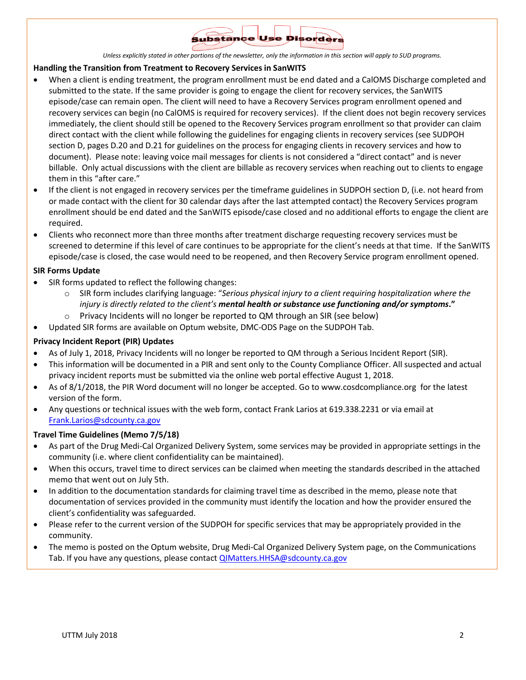

*Unless explicitly stated in other portions of the newsletter, only the information in this section will apply to SUD programs.*

#### **Handling the Transition from Treatment to Recovery Services in SanWITS**

- When a client is ending treatment, the program enrollment must be end dated and a CalOMS Discharge completed and submitted to the state. If the same provider is going to engage the client for recovery services, the SanWITS episode/case can remain open. The client will need to have a Recovery Services program enrollment opened and recovery services can begin (no CalOMS is required for recovery services). If the client does not begin recovery services immediately, the client should still be opened to the Recovery Services program enrollment so that provider can claim direct contact with the client while following the guidelines for engaging clients in recovery services (see SUDPOH section D, pages D.20 and D.21 for guidelines on the process for engaging clients in recovery services and how to document). Please note: leaving voice mail messages for clients is not considered a "direct contact" and is never billable. Only actual discussions with the client are billable as recovery services when reaching out to clients to engage them in this "after care."
- If the client is not engaged in recovery services per the timeframe guidelines in SUDPOH section D, (i.e. not heard from or made contact with the client for 30 calendar days after the last attempted contact) the Recovery Services program enrollment should be end dated and the SanWITS episode/case closed and no additional efforts to engage the client are required.
- Clients who reconnect more than three months after treatment discharge requesting recovery services must be screened to determine if this level of care continues to be appropriate for the client's needs at that time. If the SanWITS episode/case is closed, the case would need to be reopened, and then Recovery Service program enrollment opened.

#### **SIR Forms Update**

- SIR forms updated to reflect the following changes:
	- o SIR form includes clarifying language: "*Serious physical injury to a client requiring hospitalization where the injury is directly related to the client's mental health or substance use functioning and/or symptoms***."**
	- o Privacy Incidents will no longer be reported to QM through an SIR (see below)
- Updated SIR forms are available on Optum website, DMC-ODS Page on the SUDPOH Tab.

#### **Privacy Incident Report (PIR) Updates**

- As of July 1, 2018, Privacy Incidents will no longer be reported to QM through a Serious Incident Report (SIR).
- This information will be documented in a PIR and sent only to the County Compliance Officer. All suspected and actual privacy incident reports must be submitted via the online web portal effective August 1, 2018.
- As of 8/1/2018, the PIR Word document will no longer be accepted. Go to [www.cosdcompliance.org](http://www.cosdcompliance.org/) for the latest version of the form.
- Any questions or technical issues with the web form, contact Frank Larios at 619.338.2231 or via email at [Frank.Larios@sdcounty.ca.gov](mailto:Frank.Larios@sdcounty.ca.gov)

#### **Travel Time Guidelines (Memo 7/5/18)**

- As part of the Drug Medi-Cal Organized Delivery System, some services may be provided in appropriate settings in the community (i.e. where client confidentiality can be maintained).
- When this occurs, travel time to direct services can be claimed when meeting the standards described in the attached memo that went out on July 5th.
- In addition to the documentation standards for claiming travel time as described in the memo, please note that documentation of services provided in the community must identify the location and how the provider ensured the client's confidentiality was safeguarded.
- Please refer to the current version of the SUDPOH for specific services that may be appropriately provided in the community.
- The memo is posted on the Optum website, Drug Medi-Cal Organized Delivery System page, on the Communications Tab. If you have any questions, please contact QIMatters.HHSA@sdcounty.ca.gov

÷,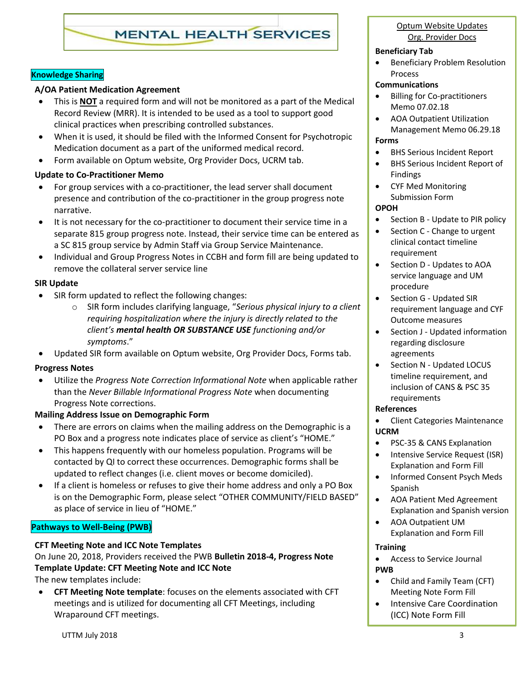# **MENTAL HEALTH SERVICES**

# **Knowledge Sharing**

# **A/OA Patient Medication Agreement**

- This is **NOT** a required form and will not be monitored as a part of the Medical Record Review (MRR). It is intended to be used as a tool to support good clinical practices when prescribing controlled substances.
- When it is used, it should be filed with the Informed Consent for Psychotropic Medication document as a part of the uniformed medical record.
- Form available on Optum website, Org Provider Docs, UCRM tab.

## **Update to Co-Practitioner Memo**

- For group services with a co-practitioner, the lead server shall document presence and contribution of the co-practitioner in the group progress note narrative.
- It is not necessary for the co-practitioner to document their service time in a separate 815 group progress note. Instead, their service time can be entered as a SC 815 group service by Admin Staff via Group Service Maintenance.
- Individual and Group Progress Notes in CCBH and form fill are being updated to remove the collateral server service line

## **SIR Update**

- SIR form updated to reflect the following changes:
	- o SIR form includes clarifying language, "*Serious physical injury to a client requiring hospitalization where the injury is directly related to the client's mental health OR SUBSTANCE USE functioning and/or symptoms*."
- Updated SIR form available on Optum website, Org Provider Docs, Forms tab.

## **Progress Notes**

 Utilize the *Progress Note Correction Informational Note* when applicable rather than the *Never Billable Informational Progress Note* when documenting Progress Note corrections.

# **Mailing Address Issue on Demographic Form**

- There are errors on claims when the mailing address on the Demographic is a PO Box and a progress note indicates place of service as client's "HOME."
- This happens frequently with our homeless population. Programs will be contacted by QI to correct these occurrences. Demographic forms shall be updated to reflect changes (i.e. client moves or become domiciled).
- If a client is homeless or refuses to give their home address and only a PO Box is on the Demographic Form, please select "OTHER COMMUNITY/FIELD BASED" as place of service in lieu of "HOME."

# **Pathways to Well-Being (PWB)**

# **CFT Meeting Note and ICC Note Templates**

On June 20, 2018, Providers received the PWB **Bulletin 2018-4, Progress Note Template Update: CFT Meeting Note and ICC Note**

The new templates include:

 **CFT Meeting Note template**: focuses on the elements associated with CFT meetings and is utilized for documenting all CFT Meetings, including Wraparound CFT meetings.

Optum Website Updates Org. Provider Docs

# **Beneficiary Tab**

**•** Beneficiary Problem Resolution Process

#### **Communications**

- Billing for Co-practitioners Memo 07.02.18
- AOA Outpatient Utilization Management Memo 06.29.18

# **Forms**

- BHS Serious Incident Report
- BHS Serious Incident Report of Findings
- CYF Med Monitoring Submission Form

#### **OPOH**

- Section B Update to PIR policy
- Section C Change to urgent clinical contact timeline requirement
- Section D Updates to AOA service language and UM procedure
- Section G Updated SIR requirement language and CYF Outcome measures
- Section J Updated information regarding disclosure agreements
- Section N Updated LOCUS timeline requirement, and inclusion of CANS & PSC 35 requirements

## **References**

• Client Categories Maintenance **UCRM**

- PSC-35 & CANS Explanation
- Intensive Service Request (ISR) Explanation and Form Fill
- Informed Consent Psych Meds Spanish
- AOA Patient Med Agreement Explanation and Spanish version
- AOA Outpatient UM Explanation and Form Fill

## **Training**

- Access to Service Journal **PWB**
- Child and Family Team (CFT) Meeting Note Form Fill
- Intensive Care Coordination [\(ICC\) Note Form Fill](https://www.optumsandiego.com/content/dam/san-diego/documents/organizationalproviders/pwb/Intensive_Care_Coordination_ICC_Note_Form_Fill_6-20-18.docx)